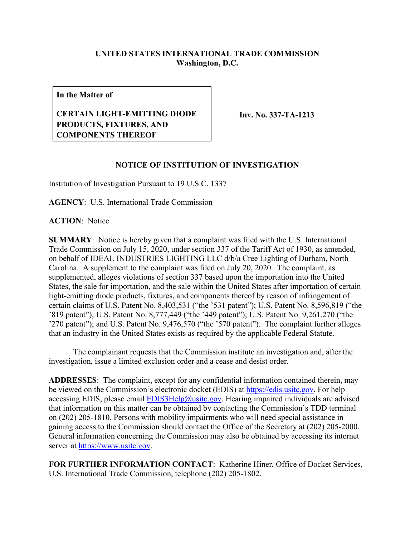## **UNITED STATES INTERNATIONAL TRADE COMMISSION Washington, D.C.**

**In the Matter of**

## **CERTAIN LIGHT-EMITTING DIODE PRODUCTS, FIXTURES, AND COMPONENTS THEREOF**

**Inv. No. 337-TA-1213**

## **NOTICE OF INSTITUTION OF INVESTIGATION**

Institution of Investigation Pursuant to 19 U.S.C. 1337

**AGENCY**: U.S. International Trade Commission

**ACTION**: Notice

**SUMMARY**: Notice is hereby given that a complaint was filed with the U.S. International Trade Commission on July 15, 2020, under section 337 of the Tariff Act of 1930, as amended, on behalf of IDEAL INDUSTRIES LIGHTING LLC d/b/a Cree Lighting of Durham, North Carolina. A supplement to the complaint was filed on July 20, 2020. The complaint, as supplemented, alleges violations of section 337 based upon the importation into the United States, the sale for importation, and the sale within the United States after importation of certain light-emitting diode products, fixtures, and components thereof by reason of infringement of certain claims of U.S. Patent No. 8,403,531 ("the '531 patent"); U.S. Patent No. 8,596,819 ("the '819 patent"); U.S. Patent No. 8,777,449 ("the '449 patent"); U.S. Patent No. 9,261,270 ("the '270 patent"); and U.S. Patent No. 9,476,570 ("the '570 patent"). The complaint further alleges that an industry in the United States exists as required by the applicable Federal Statute.

The complainant requests that the Commission institute an investigation and, after the investigation, issue a limited exclusion order and a cease and desist order.

**ADDRESSES**: The complaint, except for any confidential information contained therein, may be viewed on the Commission's electronic docket (EDIS) at [https://edis.usitc.gov.](https://edis.usitc.gov/) For help accessing EDIS, please email  $EDIS3Help@ustc.gov$ . Hearing impaired individuals are advised that information on this matter can be obtained by contacting the Commission's TDD terminal on (202) 205-1810. Persons with mobility impairments who will need special assistance in gaining access to the Commission should contact the Office of the Secretary at (202) 205-2000. General information concerning the Commission may also be obtained by accessing its internet server at [https://www.usitc.gov.](https://www.usitc.gov/)

**FOR FURTHER INFORMATION CONTACT**: Katherine Hiner, Office of Docket Services, U.S. International Trade Commission, telephone (202) 205-1802.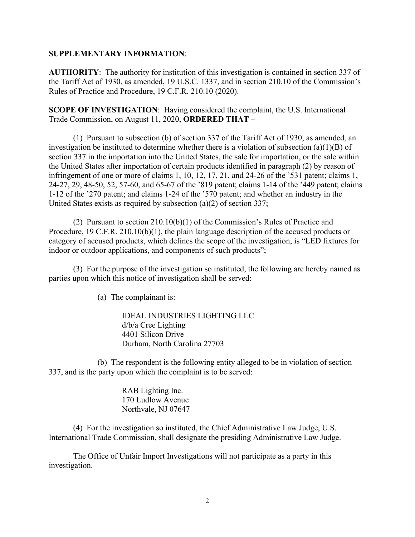## **SUPPLEMENTARY INFORMATION**:

**AUTHORITY**: The authority for institution of this investigation is contained in section 337 of the Tariff Act of 1930, as amended, 19 U.S.C. 1337, and in section 210.10 of the Commission's Rules of Practice and Procedure, 19 C.F.R. 210.10 (2020).

**SCOPE OF INVESTIGATION**: Having considered the complaint, the U.S. International Trade Commission, on August 11, 2020, **ORDERED THAT** –

(1) Pursuant to subsection (b) of section 337 of the Tariff Act of 1930, as amended, an investigation be instituted to determine whether there is a violation of subsection (a)(1)(B) of section 337 in the importation into the United States, the sale for importation, or the sale within the United States after importation of certain products identified in paragraph (2) by reason of infringement of one or more of claims 1, 10, 12, 17, 21, and 24-26 of the '531 patent; claims 1, 24-27, 29, 48-50, 52, 57-60, and 65-67 of the '819 patent; claims 1-14 of the '449 patent; claims 1-12 of the '270 patent; and claims 1-24 of the '570 patent; and whether an industry in the United States exists as required by subsection (a)(2) of section 337;

(2) Pursuant to section 210.10(b)(1) of the Commission's Rules of Practice and Procedure, 19 C.F.R. 210.10(b)(1), the plain language description of the accused products or category of accused products, which defines the scope of the investigation, is "LED fixtures for indoor or outdoor applications, and components of such products";

(3) For the purpose of the investigation so instituted, the following are hereby named as parties upon which this notice of investigation shall be served:

(a) The complainant is:

IDEAL INDUSTRIES LIGHTING LLC d/b/a Cree Lighting 4401 Silicon Drive Durham, North Carolina 27703

(b) The respondent is the following entity alleged to be in violation of section 337, and is the party upon which the complaint is to be served:

> RAB Lighting Inc. 170 Ludlow Avenue Northvale, NJ 07647

(4) For the investigation so instituted, the Chief Administrative Law Judge, U.S. International Trade Commission, shall designate the presiding Administrative Law Judge.

The Office of Unfair Import Investigations will not participate as a party in this investigation.